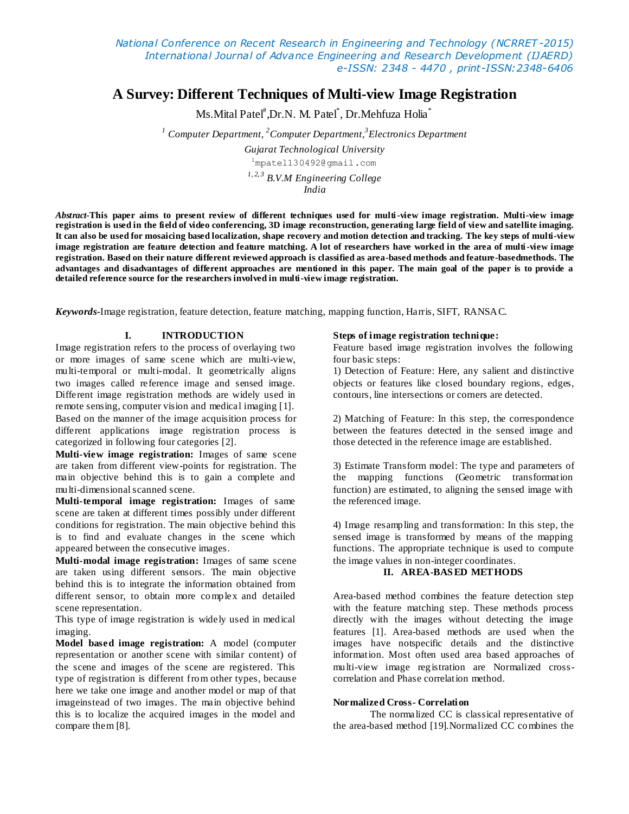# **A Survey: Different Techniques of Multi-view Image Registration**

Ms.Mital Patel<sup>#</sup>,Dr.N. M. Patel<sup>\*</sup>, Dr.Mehfuza Holia<sup>\*</sup>

*<sup>1</sup> Computer Department, <sup>2</sup>Computer Department,<sup>3</sup> Electronics Department*

*Gujarat Technological University* <sup>1</sup>mpatel130492@gmail.com *1, 2, 3 B.V.M Engineering College India*

*Abstract***-This paper aims to present review of different techniques used for multi-view image registration. Multi-view image registration is used in the field of video conferencing, 3D image reconstruction, generating large field of view and satellite imaging. It can also be used for mosaicing based localization, shape recovery and motion detection and tracking. The key steps of multi-view image registration are feature detection and feature matching. A lot of researchers have worked in the area of multi-view image registration. Based on their nature different reviewed approach is classified as area-based methods and feature-basedmethods. The advantages and disadvantages of different approaches are mentioned in this paper. The main goal of the paper is to provide a detailed reference source for the researchers involved in multi-view image registration.**

*Keywords-*Image registration, feature detection, feature matching, mapping function, Harris, SIFT, RANSAC.

# **I. INTRODUCTION**

Image registration refers to the process of overlaying two or more images of same scene which are multi-view, multi-temporal or multi-modal. It geometrically aligns two images called reference image and sensed image. Different image registration methods are widely used in remote sensing, computer vision and medical imaging [1]. Based on the manner of the image acquisition process for different applications image registration process is categorized in following four categories [2].

**Multi-view image registration:** Images of same scene are taken from different view-points for registration. The main objective behind this is to gain a complete and multi-dimensional scanned scene.

**Multi-temporal image registration:** Images of same scene are taken at different times possibly under different conditions for registration. The main objective behind this is to find and evaluate changes in the scene which appeared between the consecutive images.

**Multi-modal image registration:** Images of same scene are taken using different sensors. The main objective behind this is to integrate the information obtained from different sensor, to obtain more complex and detailed scene representation.

This type of image registration is widely used in medical imaging.

**Model based image registration:** A model (computer representation or another scene with similar content) of the scene and images of the scene are registered. This type of registration is different from other types, because here we take one image and another model or map of that imageinstead of two images. The main objective behind this is to localize the acquired images in the model and compare them [8].

## **Steps of image registration technique:**

Feature based image registration involves the following four basic steps:

1) Detection of Feature: Here, any salient and distinctive objects or features like closed boundary regions, edges, contours, line intersections or corners are detected.

2) Matching of Feature: In this step, the correspondence between the features detected in the sensed image and those detected in the reference image are established.

3) Estimate Transform model: The type and parameters of the mapping functions (Geometric transformation function) are estimated, to aligning the sensed image with the referenced image.

4) Image resampling and transformation: In this step, the sensed image is transformed by means of the mapping functions. The appropriate technique is used to compute the image values in non-integer coordinates.

## **II. AREA-BAS ED METHODS**

Area-based method combines the feature detection step with the feature matching step. These methods process directly with the images without detecting the image features [1]. Area-based methods are used when the images have notspecific details and the distinctive information. Most often used area based approaches of multi-view image registration are Normalized crosscorrelation and Phase correlation method.

## **Normalized Cross- Correlation**

The normalized CC is classical representative of the area-based method [19].Normalized CC combines the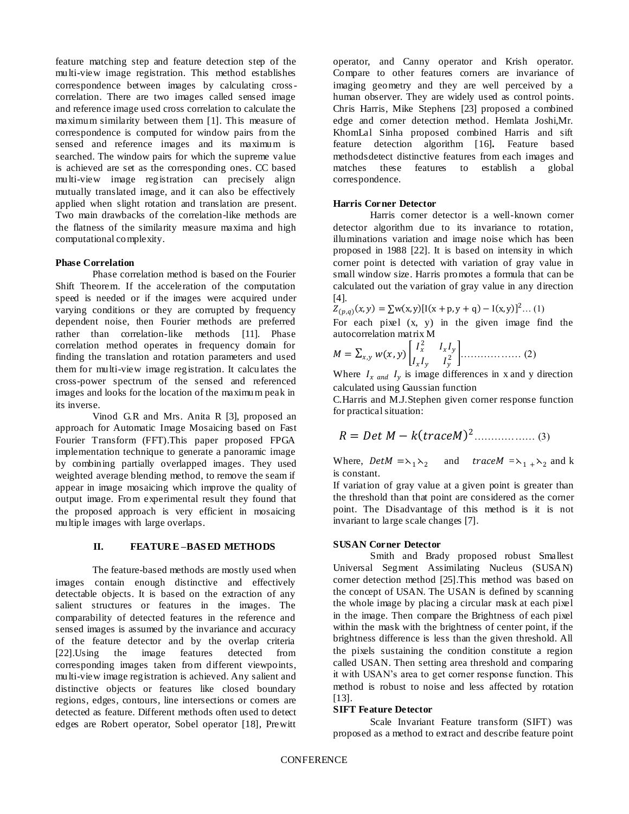feature matching step and feature detection step of the multi-view image registration. This method establishes correspondence between images by calculating crosscorrelation. There are two images called sensed image and reference image used cross correlation to calculate the maximum similarity between them [1]. This measure of correspondence is computed for window pairs from the sensed and reference images and its maximum is searched. The window pairs for which the supreme value is achieved are set as the corresponding ones. CC based multi-view image registration can precisely align mutually translated image, and it can also be effectively applied when slight rotation and translation are present. Two main drawbacks of the correlation-like methods are the flatness of the similarity measure maxima and high computational complexity.

#### **Phase Correlation**

Phase correlation method is based on the Fourier Shift Theorem. If the acceleration of the computation speed is needed or if the images were acquired under varying conditions or they are corrupted by frequency dependent noise, then Fourier methods are preferred rather than correlation-like methods [11]. Phase correlation method operates in frequency domain for finding the translation and rotation parameters and used them for multi-view image registration. It calculates the cross-power spectrum of the sensed and referenced images and looks for the location of the maximum peak in its inverse.

Vinod G.R and Mrs. Anita R [3], proposed an approach for Automatic Image Mosaicing based on Fast Fourier Transform (FFT).This paper proposed FPGA implementation technique to generate a panoramic image by combining partially overlapped images. They used weighted average blending method, to remove the seam if appear in image mosaicing which improve the quality of output image. From experimental result they found that the proposed approach is very efficient in mosaicing multiple images with large overlaps.

#### **II. FEATURE –BAS ED METHODS**

The feature-based methods are mostly used when images contain enough distinctive and effectively detectable objects. It is based on the extraction of any salient structures or features in the images. The comparability of detected features in the reference and sensed images is assumed by the invariance and accuracy of the feature detector and by the overlap criteria [22].Using the image features detected from corresponding images taken from different viewpoints, multi-view image registration is achieved. Any salient and distinctive objects or features like closed boundary regions, edges, contours, line intersections or corners are detected as feature. Different methods often used to detect edges are Robert operator, Sobel operator [18], Prewitt

operator, and Canny operator and Krish operator. Compare to other features corners are invariance of imaging geometry and they are well perceived by a human observer. They are widely used as control points. Chris Harris, Mike Stephens [23] proposed a combined edge and corner detection method. Hemlata Joshi,Mr. KhomLal Sinha proposed combined Harris and sift feature detection algorithm [16]**.** Feature based methodsdetect distinctive features from each images and matches these features to establish a global correspondence.

#### **Harris Corner Detector**

Harris corner detector is a well-known corner detector algorithm due to its invariance to rotation, illuminations variation and image noise which has been proposed in 1988 [22]. It is based on intensity in which corner point is detected with variation of gray value in small window size. Harris promotes a formula that can be calculated out the variation of gray value in any direction [4].

$$
Z_{(p,q)}(x,y) = \sum w(x,y) [I(x + p, y + q) - I(x,y)]^2 ... (1)
$$

For each pixel  $(x, y)$  in the given image find the autocorrelation matrix M

$$
M = \sum_{x,y} w(x,y) \begin{bmatrix} I_x^2 & I_x I_y \\ I_x I_y & I_y^2 \end{bmatrix} \dots \dots \dots \dots \dots \dots \dots \tag{2}
$$

Where  $I_{x \text{ and } I_{y}}$  is image differences in x and y direction calculated using Gaussian function

C.Harris and M.J.Stephen given corner response function for practical situation:

$$
R = Det M - k (trace M)^{2}
$$
 (3)

Where,  $Det M = \lambda_1 \lambda_2$  and  $trace M = \lambda_1 + \lambda_2$  and k is constant.

If variation of gray value at a given point is greater than the threshold than that point are considered as the corner point. The Disadvantage of this method is it is not invariant to large scale changes [7].

#### **SUSAN Corner Detector**

Smith and Brady proposed robust Smallest Universal Segment Assimilating Nucleus (SUSAN) corner detection method [25].This method was based on the concept of USAN. The USAN is defined by scanning the whole image by placing a circular mask at each pixel in the image. Then compare the Brightness of each pixel within the mask with the brightness of center point, if the brightness difference is less than the given threshold. All the pixels sustaining the condition constitute a region called USAN. Then setting area threshold and comparing it with USAN's area to get corner response function. This method is robust to noise and less affected by rotation [13].

### **SIFT Feature Detector**

Scale Invariant Feature transform (SIFT) was proposed as a method to extract and describe feature point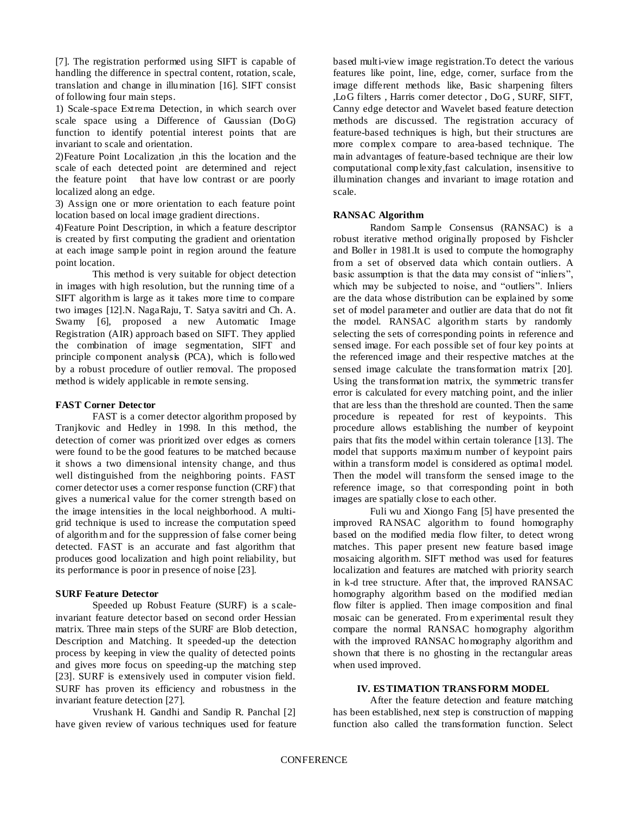[7]. The registration performed using SIFT is capable of handling the difference in spectral content, rotation, scale, translation and change in illumination [16]. SIFT consist of following four main steps.

1) Scale-space Extrema Detection, in which search over scale space using a Difference of Gaussian (DoG) function to identify potential interest points that are invariant to scale and orientation.

2)Feature Point Localization ,in this the location and the scale of each detected point are determined and reject the feature point that have low contrast or are poorly localized along an edge.

3) Assign one or more orientation to each feature point location based on local image gradient directions.

4)Feature Point Description, in which a feature descriptor is created by first computing the gradient and orientation at each image sample point in region around the feature point location.

This method is very suitable for object detection in images with high resolution, but the running time of a SIFT algorithm is large as it takes more time to compare two images [12].N. NagaRaju, T. Satya savitri and Ch. A. Swamy [6], proposed a new Automatic Image Registration (AIR) approach based on SIFT. They applied the combination of image segmentation, SIFT and principle component analysis (PCA), which is followed by a robust procedure of outlier removal. The proposed method is widely applicable in remote sensing.

## **FAST Corner Detector**

FAST is a corner detector algorithm proposed by Tranjkovic and Hedley in 1998. In this method, the detection of corner was prioritized over edges as corners were found to be the good features to be matched because it shows a two dimensional intensity change, and thus well distinguished from the neighboring points. FAST corner detector uses a corner response function (CRF) that gives a numerical value for the corner strength based on the image intensities in the local neighborhood. A multigrid technique is used to increase the computation speed of algorithm and for the suppression of false corner being detected. FAST is an accurate and fast algorithm that produces good localization and high point reliability, but its performance is poor in presence of noise [23].

#### **SURF Feature Detector**

Speeded up Robust Feature (SURF) is a scaleinvariant feature detector based on second order Hessian matrix. Three main steps of the SURF are Blob detection. Description and Matching. It speeded-up the detection process by keeping in view the quality of detected points and gives more focus on speeding-up the matching step [23]. SURF is extensively used in computer vision field. SURF has proven its efficiency and robustness in the invariant feature detection [27].

Vrushank H. Gandhi and Sandip R. Panchal [2] have given review of various techniques used for feature based multi-view image registration.To detect the various features like point, line, edge, corner, surface from the image different methods like, Basic sharpening filters ,LoG filters , Harris corner detector , DoG , SURF, SIFT, Canny edge detector and Wavelet based feature detection methods are discussed. The registration accuracy of feature-based techniques is high, but their structures are more complex compare to area-based technique. The main advantages of feature-based technique are their low computational complexity,fast calculation, insensitive to illumination changes and invariant to image rotation and scale.

## **RANSAC Algorithm**

Random Sample Consensus (RANSAC) is a robust iterative method originally proposed by Fishcler and Boller in 1981.It is used to compute the homography from a set of observed data which contain outliers. A basic assumption is that the data may consist of "inliers", which may be subjected to noise, and "outliers". Inliers are the data whose distribution can be explained by some set of model parameter and outlier are data that do not fit the model. RANSAC algorithm starts by randomly selecting the sets of corresponding points in reference and sensed image. For each possible set of four key points at the referenced image and their respective matches at the sensed image calculate the transformation matrix [20]. Using the transformation matrix, the symmetric transfer error is calculated for every matching point, and the inlier that are less than the threshold are counted. Then the same procedure is repeated for rest of keypoints. This procedure allows establishing the number of keypoint pairs that fits the model within certain tolerance [13]. The model that supports maximum number of keypoint pairs within a transform model is considered as optimal model. Then the model will transform the sensed image to the reference image, so that corresponding point in both images are spatially close to each other.

Fuli wu and Xiongo Fang [5] have presented the improved RANSAC algorithm to found homography based on the modified media flow filter, to detect wrong matches. This paper present new feature based image mosaicing algorithm. SIFT method was used for features localization and features are matched with priority search in k-d tree structure. After that, the improved RANSAC homography algorithm based on the modified median flow filter is applied. Then image composition and final mosaic can be generated. From experimental result they compare the normal RANSAC homography algorithm with the improved RANSAC homography algorithm and shown that there is no ghosting in the rectangular areas when used improved.

## **IV. ES TIMATION TRANS FORM MODEL**

After the feature detection and feature matching has been established, next step is construction of mapping function also called the transformation function. Select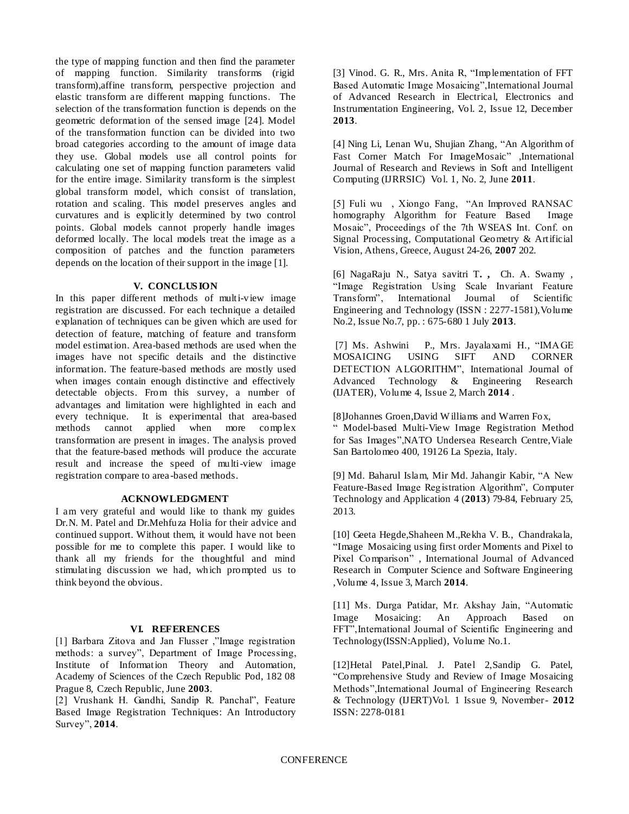the type of mapping function and then find the parameter of mapping function. Similarity transforms (rigid transform),affine transform, perspective projection and elastic transform are different mapping functions. The selection of the transformation function is depends on the geometric deformation of the sensed image [24]. Model of the transformation function can be divided into two broad categories according to the amount of image data they use. Global models use all control points for calculating one set of mapping function parameters valid for the entire image. Similarity transform is the simplest global transform model, which consist of translation, rotation and scaling. This model preserves angles and curvatures and is explicitly determined by two control points. Global models cannot properly handle images deformed locally. The local models treat the image as a composition of patches and the function parameters depends on the location of their support in the image [1].

## **V. CONCLUS ION**

In this paper different methods of multi-view image registration are discussed. For each technique a detailed explanation of techniques can be given which are used for detection of feature, matching of feature and transform model estimation. Area-based methods are used when the images have not specific details and the distinctive information. The feature-based methods are mostly used when images contain enough distinctive and effectively detectable objects. From this survey, a number of advantages and limitation were highlighted in each and every technique. It is experimental that area-based methods cannot applied when more complex transformation are present in images. The analysis proved that the feature-based methods will produce the accurate result and increase the speed of multi-view image registration compare to area -based methods.

## **ACKNOWLEDGMENT**

I am very grateful and would like to thank my guides Dr.N. M. Patel and Dr.Mehfuza Holia for their advice and continued support. Without them, it would have not been possible for me to complete this paper. I would like to thank all my friends for the thoughtful and mind stimulating discussion we had, which prompted us to think beyond the obvious.

# **VI. REFERENCES**

[1] Barbara Zitova and Jan Flusser ,"Image registration methods: a survey", Department of Image Processing, Institute of Information Theory and Automation, Academy of Sciences of the Czech Republic Pod, 182 08 Prague 8, Czech Republic, June **2003**.

[2] Vrushank H. Gandhi, Sandip R. Panchal", Feature Based Image Registration Techniques: An Introductory Survey", **2014**.

[3] Vinod. G. R., Mrs. Anita R, "Implementation of FFT Based Automatic Image Mosaicing",International Journal of Advanced Research in Electrical, Electronics and Instrumentation Engineering, Vol. 2, Issue 12, December **2013**.

[4] Ning Li, Lenan Wu, Shujian Zhang, "An Algorithm of Fast Corner Match For ImageMosaic" ,International Journal of Research and Reviews in Soft and Intelligent Computing (IJRRSIC) Vol. 1, No. 2, June **2011**.

[5] Fuli wu , Xiongo Fang, "An Improved RANSAC homography Algorithm for Feature Based Image Mosaic", Proceedings of the 7th WSEAS Int. Conf. on Signal Processing, Computational Geometry & Artificial Vision, Athens, Greece, August 24-26, **2007** 202.

[6] NagaRaju N., Satya savitri T**. ,** Ch. A. Swamy , "Image Registration Using Scale Invariant Feature Transform", International Journal of Scientific Engineering and Technology (ISSN : 2277-1581),Volume No.2, Issue No.7, pp. : 675-680 1 July **2013**.

[7] Ms. Ashwini P., Mrs. Jayalaxami H., "IMAGE MOSAICING USING SIFT AND CORNER DETECTION ALGORITHM", International Journal of Advanced Technology & Engineering Research (IJATER), Volume 4, Issue 2, March **2014** .

[8]Johannes Groen,David W illiams and Warren Fox,

" Model-based Multi-View Image Registration Method for Sas Images",NATO Undersea Research Centre,Viale San Bartolomeo 400, 19126 La Spezia, Italy.

[9] Md. Baharul Islam, Mir Md. Jahangir Kabir, "A New Feature-Based Image Registration Algorithm", Computer Technology and Application 4 (**2013**) 79-84, February 25, 2013.

[10] Geeta Hegde,Shaheen M.,Rekha V. B., Chandrakala, "Image Mosaicing using first order Moments and Pixel to Pixel Comparison" , International Journal of Advanced Research in Computer Science and Software Engineering ,Volume 4, Issue 3, March **2014**.

[11] Ms. Durga Patidar, Mr. Akshay Jain, "Automatic Image Mosaicing: An Approach Based on FFT",International Journal of Scientific Engineering and Technology(ISSN:Applied), Volume No.1.

[12]Hetal Patel,Pinal. J. Patel 2,Sandip G. Patel, "Comprehensive Study and Review of Image Mosaicing Methods",International Journal of Engineering Research & Technology (IJERT)Vol. 1 Issue 9, November- **2012** ISSN: 2278-0181